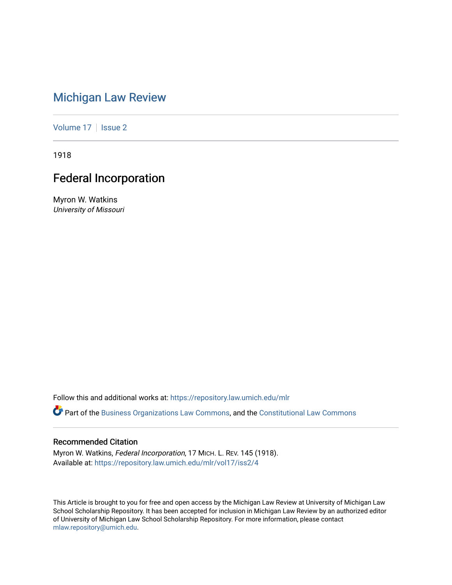# [Michigan Law Review](https://repository.law.umich.edu/mlr)

[Volume 17](https://repository.law.umich.edu/mlr/vol17) | [Issue 2](https://repository.law.umich.edu/mlr/vol17/iss2)

1918

# Federal Incorporation

Myron W. Watkins University of Missouri

Follow this and additional works at: [https://repository.law.umich.edu/mlr](https://repository.law.umich.edu/mlr?utm_source=repository.law.umich.edu%2Fmlr%2Fvol17%2Fiss2%2F4&utm_medium=PDF&utm_campaign=PDFCoverPages) 

Part of the [Business Organizations Law Commons](http://network.bepress.com/hgg/discipline/900?utm_source=repository.law.umich.edu%2Fmlr%2Fvol17%2Fiss2%2F4&utm_medium=PDF&utm_campaign=PDFCoverPages), and the [Constitutional Law Commons](http://network.bepress.com/hgg/discipline/589?utm_source=repository.law.umich.edu%2Fmlr%2Fvol17%2Fiss2%2F4&utm_medium=PDF&utm_campaign=PDFCoverPages) 

### Recommended Citation

Myron W. Watkins, Federal Incorporation, 17 MICH. L. REV. 145 (1918). Available at: [https://repository.law.umich.edu/mlr/vol17/iss2/4](https://repository.law.umich.edu/mlr/vol17/iss2/4?utm_source=repository.law.umich.edu%2Fmlr%2Fvol17%2Fiss2%2F4&utm_medium=PDF&utm_campaign=PDFCoverPages)

This Article is brought to you for free and open access by the Michigan Law Review at University of Michigan Law School Scholarship Repository. It has been accepted for inclusion in Michigan Law Review by an authorized editor of University of Michigan Law School Scholarship Repository. For more information, please contact [mlaw.repository@umich.edu.](mailto:mlaw.repository@umich.edu)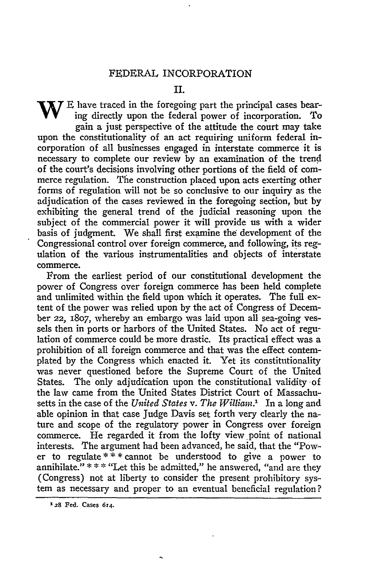#### FEDERAL INCORPORATION

#### II.

 $\mathbf{W}$  E have traced in the foregoing part the principal cases bear-<br>ing directly upon the federal power of incorporation. To ing directly upon the federal power of incorporation. gain a just perspective of the attitude the court may take upon the constitutionality of an act requiring uniform federal incorporation of all businesses engaged in interstate commerce it is necessary to complete our review by an examination of the trend of the court's decisions involving other portions of the field of commerce regulation. The construction placed upon acts exerting other forms of regulation will not be so conclusive to our inquiry as the adjudication of the cases reviewed in the foregoing section, but by exhibiting the general trend of the judicial reasoning upon the subject of the commercial power it will provide us with a wider basis of judgment. We shall first examine the development of the Congressional control over foreign commerce, and following, its regulation of the various instrumentalities and objects of interstate commerce.

From the earliest period of our constitutional development the power of Congress over foreign commerce has been held complete and unlimited within the field upon which it operates. The full extent of the power was relied upon by the act of Congress of December *22,* 18o7, whereby an embargo was laid upon all sea-going vessels then in ports or harbors of the United States. No act of regulation of commerce could be more drastic. Its practical effect was a prohibition of all foreign commerce and that was the effect contemplated by the Congress which enacted it. Yet its constitutionality was never questioned before the Supreme Court of the United States. The only adjudication upon the constitutional validity of the law came from the United States District Court of Massachusetts in the case of the *United States* v. *The William.*1 In a long and able opinion in that case Judge Davis set forth very clearly the nature and scope of the regulatory power in Congress over foreign commerce. He regarded it from the lofty view point of national interests. The argument had been advanced, he said, that the "Power to regulate  $\ast \ast \ast$  cannot be understood to give a power to annihilate." \*\*\* "Let this be admitted," he answered, "and are they (Congress) not at liberty to consider the present prohibitory system as necessary and proper to an eventual beneficial regulation?

<sup>128</sup> Fed. Cases 614.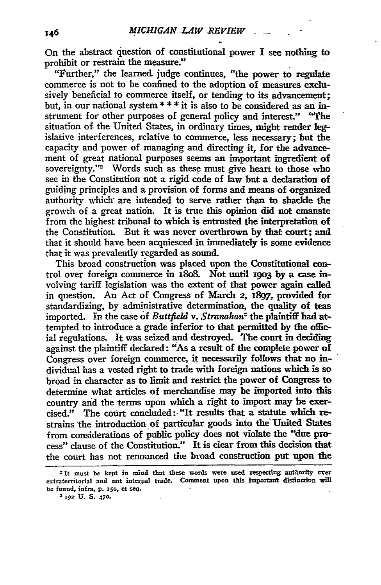On the abstract question of constitutional power I see nothing to prohibit or restrain the measure."

"Further,'' the learned. judge continues, "the power to regulate commerce is not to be confined to the adoption of measures exclusively beneficial to commerce itself, or tending to its advancement: but, in our national system  $***$  it is also to be considered as an instrument for other purposes of general policy and interest." "The situation of the United States, in ordinary times, might render legislative interferences, relative to commerce, less necessary; but the capacity and power of managing and directing it, for the advancement of great national purposes seems an important ingredient of sovereignty."<sup>2</sup> Words such as these must give heart to those who see in the Constitution not a rigid code of law but a declaration of guiding principles and a provision of forms and means of organized authority which· are intended to serve rather than to shackle the growth of a great nation. It is true this opinion did not emanate from the highest tribunal to which is entrusted the interpretation of the Constitution. But it was never overthrown by that court; and that it should have been acquiesced in immediately is some evidence that it was prevalently regarded as sound.

This broad construction was placed upon the Constitutional control over foreign commerce in 18o8. Not until 1903 by a case involving tariff legislation was the extent of that power again called in question. An Act of Congress of March 2, 1897, provided for standardizing, by administrative determination, the quality of teas imported. In the case of *Buttfield v. Stranahan*<sup>3</sup> the plaintiff had attempted to introduce a grade inferior to that permitted by the official regulations. It was seized and destroyed. The court in deciding against the plaintiff declared: ''As a result of the complete power of Congress over foreign commerce, it necessarily follows that no individual has a vested right to trade with foreign nations which is so broad in character as to limit and restrict the power of Congress to determine what articles of merchandise may be imported into this country and the terms upon which a right to import may be exercised." The court concluded:- "It results that a statute which restrains the introduction of particular goods into the United States from considerations of public policy does not violate the "due process" clause of the Constitution." It is clear from this decision that the court has not renounced the broad construction put upon the

<sup>&</sup>lt;sup>2</sup> It must be kept in mind that these words were used respecting authority over extraterritorial and not internal trade. Comment upon this important distinction will be found, infra, p. 150. et seq.

<sup>&</sup>lt;sup>3</sup> 192 U.S. 470.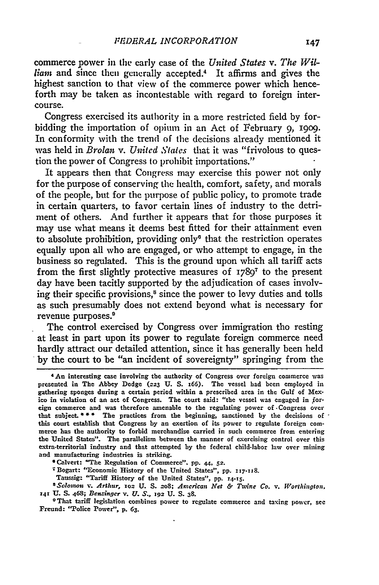commerce power in the early case of the *United States* v. *The William* and since theu generally accepted.<sup>4</sup> It affirms and gives the highest sanction to that view of the commerce power which henceforth may be taken as incontestable with regard to foreign intercourse.

Congress exercised its authority in a more restricted field by forbidding the importation of opium in an Act of February 9, 1909. In conformity with the trend of the decisions already mentioned it was held in *Brolan v. United States* that it was "frivolous to question the power of Congress to prohibit importations."

It appears then that Congress may exercise this power not only for the purpose of conserving the health, comfort, safety, and morals of the people, but for the purpose of public policy, to promote trade in certain quarters, to favor certain lines of industry to the detriment of others. And further it appears that for those purposes it may use what means it deems best fitted for their attainment even to absolute prohibition, providing only<sup>6</sup> that the restriction operates equally upon all who are engaged, or who attempt to engage, in the business so regulated. This is the ground upon which all tariff acts from the first slightly protective measures of 17897 to the present day have been tacitly supported by the adjudication of cases involving their specific provisions,<sup>8</sup> since the power to levy duties and tolls as such presumably does not extend beyond what is necessary for revenue purposes.<sup>9</sup>

The control exercised by Congress over immigration tho resting at least in part upon its power to regulate foreign commerce need hardly attract our detailed attention, since it has generally been held by the court to be "an incident of sovereignty" springing from the

•Calvert: "The Regulation of Commerce". pp. 44, *52.* 

~Bogart: "Economic History of the United States", pp. II7·II8.

Taussig: "Tariff History of the United States", pp. r4-r5.

<sup>8</sup> Solomon *v. Artliur, 102 U. S. 208; American Net & Twine Co. v. Worthington, 141 U. S. 468; Benzinger v. U. S., 192 U. S. 38.* 

<sup>9</sup> That tariff legislation combines power to regulate commerce and taxing power, see Freund: "Police Power", p. 63.

<sup>•</sup>An interesting case involving the authority of Congress over foreign commerce was presented in The Abbey Dodge (223 U. S. 166). The vessel had been employed in gathering sponges during a certain period within a prescribed area in the Gulf of Mex· ico in violation of an act of Congress. The court said: "the vessel was engaged in foreign commerce and was therefore amenable to the regulating power of . Congress over that subject.\*\*\* The practices from the beginning, sanctioned by the decisions of this court establish that Congress by an exertion of its power to regulate foreign com· merce has the authority to forbid merchandise carried in such commerce from entering the United States". The parallelism between the manner of exercising control over this extra-territorial industry and that attempted by the federal child-labor law over mining and manufacturing industries is striking.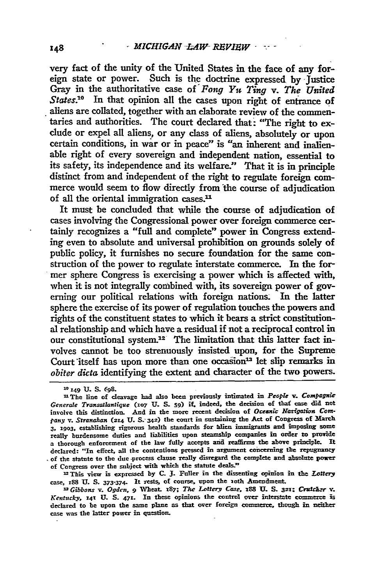very fact of the unity of the United States in the face of any foreign state or power. Such is the doctrine expressed by ·Justice Gray in the authoritative case of' *Fong Ytt Ting* v. *The United*  States.<sup>10</sup> In that opinion all the cases upon right of entrance of aliens are collated, together with an elaborate review of the commentaries and authorities. The court declared that: "The right to exclude or expel all aliens, or any class of aliens, absolutely or upon certain conditions, in war or in peace" is "an inherent and inalienable right of every sovereign and independent nation, essential to its safety, its independence and its welfare.» That it is in principle distinct from and independent of the right to regulate foreign commerce would seem to flow directly from the course of adjudication of all the oriental immigration cases.<sup>11</sup>

It must be concluded that while the course of adjudication of cases involving the Congressional power over foreign commerce certainly recognizes a "full and complete" power in Congress extending even to absolute and universal prohibition on grounds solely of public policy, it furnishes no secure foundation for the same construction of the power to regulate interstate commerce. In the for- . mer sphere Congress is exercising a power which is affected with, when it is not integrally combined with, its sovereign power of governing our political relations with foreign nations~ In the latter sphere the exercise of its power of regulation touches the powers and rights of the constituent states to which it bears a strict constitutional relationship and which have a residual if not a reciprocal control in our constitutional system.<sup>12</sup> The limitation that this latter fact involves cannot be too strenuously insisted upon, for the Supreme Court itself has upon more than one occasion<sup>13</sup> let slip remarks in *obiter dicta* identifying the extent and character of the two powers.

<sup>12</sup> This view is expressed by C. J. Fuller in the dissenting opinion in the Lottery case, 188 U. S. 373-374. It rests, of course, upon the noth Amendment.

<sup>&</sup>lt;sup>10</sup> 149 U.S. 698.

<sup>11</sup> The line of cleavage had also been previously intimated in *PeGple* v. *Compagnie Generale Transatlantique* (107 U. S. 59) if. indeed, the decision of thaf case did not involve this distinction. And in the more recent decision of *Oceanic Narigation Company v. Stranahan* (214 U. S. 342) the court in sustaining the Act of Congress of March 3, 1903, establishing rigorous health standards for alien immigrants and imposing some really burdensome duties and liabilities upon steamshlp companies in order to proride a thorough enforcement of the law fully accepts and reaffirms the above principle. It declared: "In effect, all the contentions pressed in argument concerning the repugnancy , of the statute to the due -process clause really disregard the complete and absolute power of Congress over the subject with which the statute deals."

<sup>&</sup>lt;sup>12</sup> Gibbons v. Ogden, 9 Wheat. 187; The Lottery Case, 188 U. S. 321; Crutcher v. *Kentucky*, 141 U. S. 471. In these opinions the control over interstate commerce is declared to be upon the same plane as that over foreign commerce. though in neither case was the latter power in question.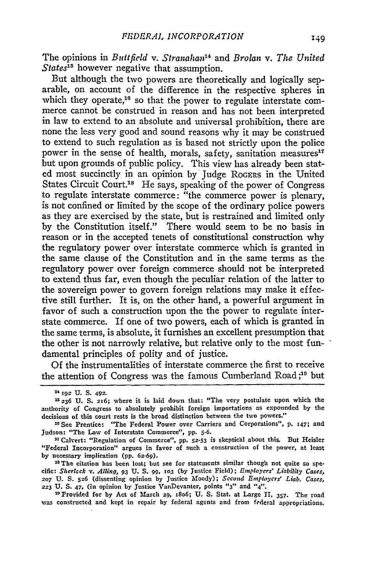The opinions in *Buttfirld* v. *Stranahan*14 and *Brolan* v. *The United*   $States<sup>15</sup>$  however negative that assumption.

But although the two powers are theoretically and logically separable, on account of the difference in the respective spheres in which they operate,<sup>16</sup> so that the power to regulate interstate commerce cannot be construed in reason and has not been interpreted in law to extend to an absolute and universal prohibition, there are none the less very good and sound reasons why it may be construed to extend to such regulation as is based not strictly upon the police power in the sense of health, morals, safety, sanitation measures<sup>17</sup> but upon grounds of public policy. This view has already been stated most succinctly in an opinion by Judge Rocers in the United States Circuit Court.<sup>18</sup> He says, speaking of the power of Congress to regulate interstate commerce: "the commerce power is plenary, is not confined or limited by the scope of the ordinary police powers as they are exercised by the state, but is restrained and limited only by the Constitution itself." There would seem to be no basis in reason or in the accepted tenets of constitutional construction why the regulatory power over interstate commerce which is granted in the same clause of the Constitution and in the same terms as the regulatory power over foreign commerce should not be interpreted to extend thus far, even though the peculiar relation of the latter to the sovereign power to govern foreign relations may make it effective still further. It is, on the other hand, a powerful argument in favor of such a construction upon the the power to regulate interstate commerce. If one of two powers, each of which is granted in the same terms, is absolute, it furnishes an excellent presumption that the other is not narrowly relative, but relative only to the most fundamental principles of polity and of justice.

Of the instrumentalities of interstate commerce the first to receive the attention of Congress was the famous Cumberland Road;<sup>10</sup> but

cific: *Slicrfock* v. *Alling,* 93 U. S. 99, 103 (by Justice Field); *Emploscrs' Lial•ility Cases,*  207 U. S. 526 (dissenting opinion by Justice Moody); Second Employers' Liab. Cases, 223 U. S. 47, (in opinion by Justice VanDevanter, points "3" and "4".

<sup>19</sup> Provided for by Act of March 29, 1806; U. S. Stat. at Large II, 357. The road was constructed and kept in repair by federal agents and from frderal appropriations.

<sup>14 192</sup> U.S. 492.

<sup>&</sup>lt;sup>15</sup> 236 U. S. 216; where it is laid down that: "The very postulate upon which the anthority of Congress to absolutely prohibit foreign importations as expounded by the decisions of this court rests is the broad distinction between the two powers."<br><sup>16</sup> See Prentice: "The Federal Power over Carriers and Corporations", p. 147; and

Judson: "The Law of Interstate Commerce", pp. 5-6.

<sup>&</sup>lt;sup>17</sup> Calvert: "Regulation of Commerce", pp. 52-53 is skeptical about this. But Heisler "Federal Incorporation" argues in favor of such a construction of the power, at least by necessary implication (pp. 62-69).<br><sup>18</sup> The citation has been lost; but see for statements similar though not quite so spe-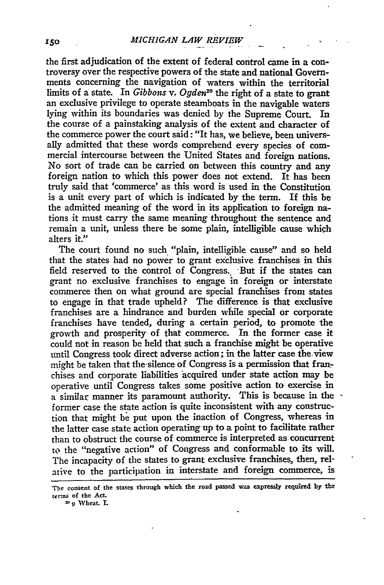the first adjudication of the extent of federal control came in a controversy over the respective powers of the state and national Govern· ments concerning the navigation of waters within the territorial limits of a state. In *Gibbons* v. *Ogden*20 the right of a state to grant an exclusive privilege to operate steamboats in the navigable waters lying within its boundaries was denied by the Supreme Court. In the course of a painstaking analysis of the extent and character of the commerce power the court said: "It has, we believe, been universally admitted that these words comprehend every species of commercial intercourse between the United States and foreign nations. No sort of trade can be carried on between this country and any foreign nation to which this power does not extend. It has been truly said that 'commerce' as this word is used in the Constitution is a unit every part of which is indicated by the term. If this be the admitted meaning of the word in its application to foreign nations it must carry the same meaning throughout the sentence and remain a unit, unless there be some plain, intelligible cause which alters it."

The court found no such "plain, intelligible cause" and so held that the states had no power to grant exclusive franchises in this field reserved to the control of Congress. But if the states can grant no exclusive franchises to engage in foreign or interstate commerce then on what ground are special franchises from states to engage in that trade upheld? The difference is that exclusive franchises are a hindrance and burden while special or corporate franchises have tended, during a certain period, to promote the growth and prosperity of that commerce. In the former case it could not in reason be held that such a franchise might be operative until Congress took direct adverse action; in the latter case the.view might be taken that the silence of Congress is a permission that franchises and corporate liabilities acquired under state action may be operative until Congress takes some positive action to exercise in a similar manner its paramount authority. This is because in the former case the state action is quite inconsistent with any construction that might be put upon the inaction of Congress, whereas in the latter case state action operating up to a point to facilitate rather than to obstruct the course of commerce is interpreted as concurrent to the "negative action" of Congress and conformable to its will. The incapacity of the states to grant exclusive franchises, then, relarive to the participation in interstate and foreign commerce, is

The consent of the states through which the road passed was expressly required by the terms of the Act.

<sup>&</sup>quot;'9 Wheat. I.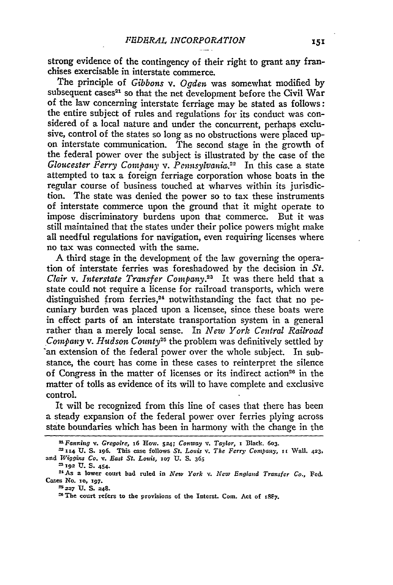strong evidence of the contingency of their right to grant any franchises exercisable in interstate commerce.

The principle of *Gibbons* v. *Ogden* was somewhat modified by subsequent cases<sup>21</sup> so that the net development before the Civil War of the law concerning interstate ferriage may be stated as follows: the entire subject of rules and regulations for its conduct was considered of a local nature and under the concurrent, perhaps exclusive, control of the states so long as no obstructions were placed upon interstate communication. The second stage in the growth of the federal power over the subject is illustrated by the case of the *Gloucester Ferry Compawy* v. *Pcmisylvania.22* In this case a state attempted to tax a foreign ferriage corporation whose boats in the regular course of business touched at wharves within its jurisdiction. The state was denied the power so to tax these instruments of interstate commerce upon the ground that it might operate to impose discriminatory burdens upon that commerce. But it was still maintained that the states under their police powers might make all needful regulations for navigation, even requiring licenses where no tax was connected with the same.

A third stage in the development of the law governing the operation of interstate ferries was foreshadowed by the decision in *St. Clair* v. *Interstate Transfer Compawy.23* It was there held that a state could not require a license for railroad transports, which were distinguished from ferries,<sup>24</sup> notwithstanding the fact that no pecuniary burden was placed upon a licensee, since these boats were in effect parts of an interstate transportation system in a general rather than a merely local sense. In *New York Central Railroad Company v. Hudson County*<sup>25</sup> the problem was definitively settled by an extension of the federal power over the whole subject. In substance, the court has come in these cases to reinterpret the silence of Congress in the matter of licenses or its indirect action<sup>26</sup> in the matter of tolls as evidence of its will to have complete and exclusive control.

It will be recognized from this line of cases that there has been a steady expansion of the federal power over ferries plying across state boundaries which has been in harmony with the change in the

*<sup>%1.</sup>Fanr.ing* v. *Gregoire,* 16 How. 524; *Conway* v. *Taylor,* l Black. 603.

 $22$  114 U. S. 196. This case follows *St. Louis v. The Ferry Company*, 11 Wall. 423, and *lViggins Co.* v. *East St. Louis,* 107 U. S. 365

<sup>&</sup>lt;sup>23</sup> 192 U.S. 454.

<sup>=•</sup>As a lower court had ruled in *New York* v. *New England Transfer Co.,* Fed. Cases No. 10, 197.

<sup>&</sup>lt;sup>25</sup> 227 U.S. 248.

 $\infty$  The court refers to the provisions of the Interst. Com. Act of 1987.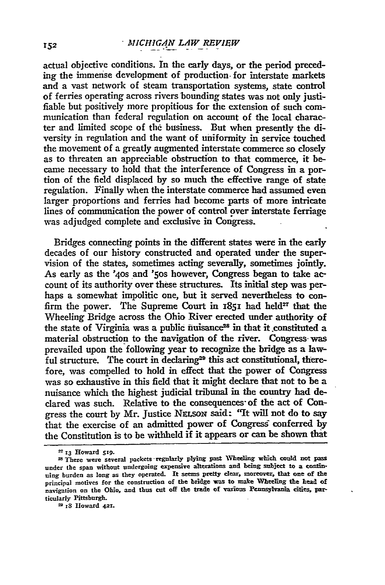### MICHIGAN LAW REVIEW

actual objective conditions. In the early days, or the period preceding the immense development of production- for interstate markets and a vast network of steam transportation systems, state control of ferries operating across rivers bounding states was not only justifiable but positively more propitious for the extension of such communication than federal regulation on account of the local character and limited scope of the business. But when presently the diversity in regulation and the want of uniformity in service touched the movement of a greatly augmented interstate commerce so closely as to threaten an appreciable obstruction to that commerce, it became necessary to hold that the interference of Congress in a portion of the field displaced by so much the effective range of state regulation. Finally when the interstate commerce had assumed even larger proportions and ferries had become parts of more intricate lines of communication the power of control over interstate ferriage was adjudged complete and exclusive in Congress.

Bridges connecting points in the different states were in the early decades of our history constructed and operated under the supervision of the states, sometimes acting severally, sometimes jointly. As early as the '40s and '50s however, Congress began to take account of its authority over these structures. Its initial step was perhaps a somewhat impolitic one, but it served nevertheless to confirm the power. The Supreme Court in 1851 had held<sup>27</sup> that the Wheeling Bridge across the Ohio River erected under authority of the state of Virginia was a public fiuisance<sup>28</sup> in that it constituted a material obstruction to the navigation of the river. Congress-was prevailed upon the following year to recognize the bridge as a lawful structure. The court in declaring<sup>29</sup> this act constitutional, therefore, was compelled to hold in effect that the power of Congress was so exhaustive in this field that it might declare that not to be a nuisance which the highest judicial tribunal in the country had declared was such. Relative to the consequences· of the act of Congress the court by Mr. Justice NELSON said: "It will not do to sav that the exercise of an admitted power of Congress conferred by the Constitution is to be withheld if it appears or can be shown that

<sup>&</sup>quot;' 13 Howard 519.

<sup>&</sup>lt;sup>28</sup> There were several packets regularly plying past Wheeling which could not pass under the span without undergoing expensive alterations and being subject to a continuing burden as long as they operated. It seems pretty clear, moreover, that one of the principal motives for the construction of the bridge was to make Wheeling the head of navigation on the Ohio, and thus cut off the trade of various Pennsylvania cities, particularly Pittsburgh.

 $\approx$  18 Howard 421.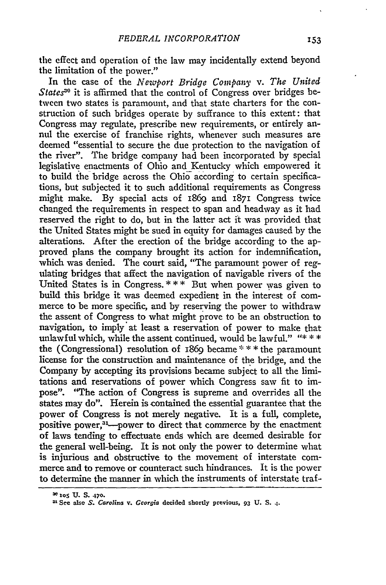the effect and operation of the law may incidentally extend beyond the limitation of the power."

In the case of the *Newport Bridge Company v. The United States3°* it is affirmed that the control of Congress over bridges between two states is paramount, and that state charters for the construction of such bridges operate by suffrance to this extent: that Congress may regulate, prescribe new requirements, or entirely annul the exercise of franchise rights, whenever such measures are deemed "essential to secure the due protection to the navigation of the river''. The bridge company had been incorporated by special legislative enactments of Ohio and Kentucky which empowered it to build the bridge across the Ohio according to certain specifications, but subjected it to such additional requirements as Congress might make. By special acts of 1869 and 1871 Congress twice changed the requirements in respect to span and headway as it had reserved the right to do, but in the latter act it was provided that the United States might be sued in equity for damages caused by the alterations. After the erection of the bridge according to the approved plans the company brought its action for indemnification, which was denied. The court said, "The paramount power of regulating bridges that affect the navigation of navigable rivers of the United States is in Congress.  $***$  But when power was given to build this bridge it was deemed expedient in the interest of commerce to be more specific, and by reserving the power to withdraw the assent of Congress to what might prove to be an obstruction to navigation, to imply· at least a reservation of power to make that unlawful which, while the assent continued, would be lawful." "\*\*\*\* the (Congressional) resolution of 1869 became\*\*\* the paramount license for the construction and maintenance of the bridge, and the Company by accepting its provisions became subject to all the limitations and reservations of power which Congress saw fit to impose". "The action of Congress is supreme and overrides all the states may do". Herein is contained the essential guarantee that the power of Congress is not merely negative. It is a full, complete, positive power,<sup>31</sup>-power to direct that commerce by the enactment of laws tending to effectuate ends which are deemed desirable for the general well-being. It is not only the power to determine what is injurious and obstructive to the movement of interstate commerce and to remove or counteract such hindrances. It is the power to determine the manner in which the instruments of interstate traf-

<sup>&</sup>lt;sup>30</sup> 105 U.S. 470.

<sup>&</sup>lt;sup>31</sup> See also *S. Carolina v. Georgia* decided shortly previous, 93 U. S. ..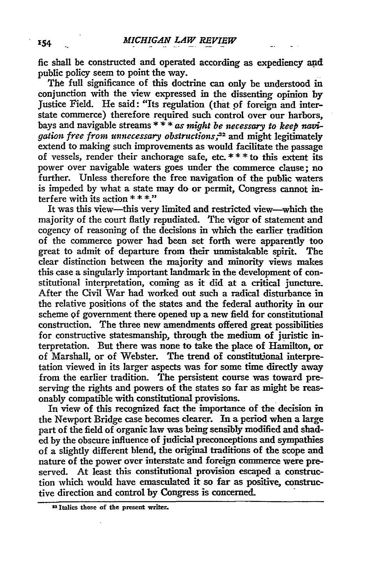fic shall be constructed and operated according as expediency and public policy seem to point the way.

The full significance of this doctrine can only be understood in conjunction with the view expressed in the dissenting opinion by Justice Field. He said: "Its regulation (that of foreign and interstate commerce) therefore required such control over our harbors, bays and navigable streams \* \* \* *as might be necessary to keep navi- gation free from unnecessary obstructions*,<sup>32</sup> and might legitimately extend to making such improvements as would facilitate the passage of vessels, render their anchorage safe, etc. \* \* \* to this extent its power over navigable waters goes under the commerce clause; no further. Unless therefore the free navigation of the public waters is impeded by what a state may do or permit, Congress cannot interfere with its action  $***$ ."

It was this view-this very limited and restricted view-which the majority of the court flatly repudiated. The vigor of statement and cogency of reasoning of the decisions in which the earlier tradition of the commerce power had been set forth were apparently too great to admit of departure from their unmistakable spirit. The clear distinction between the majority and minority views makes this case a singularly important landmark in the development of constitutional interpretation, coming as it did at a critical juncture. After the Civil War had worked out such a radical disturbance in the relative positions of the states and the federal authority in our scheme of government there opened up a new field for constitutional construction. The three new amendments offered great possibilities for constructive statesmanship, through the medium of juristic interpretation. But there was none to take the place of Hamilton, or of Marshall, or of Webster. The trend of constitutional interpretation viewed in its larger aspects was for some time directly away from the earlier tradition. The persistent course was toward preserving the rights and powers of the states so far as might be reasonably compatible with constitutional provisions.

In view of this recognized fact the importance of the decision in the Newport Bridge case becomes clearer. In a period when a large part of the field of organic law was being sensibly modified and shaded by the obscure influence of judicial preconceptions and sympathies of a slightly different blend, the original traditions of the scope and nature of the power over interstate and foreign commerce were preserved. At least this constitutional provision escaped a construction which would have emasculated it so far as positive, constructive direction and control by Congress is concerned.

<sup>&</sup>lt;sup>12</sup> Italics those of the present writer.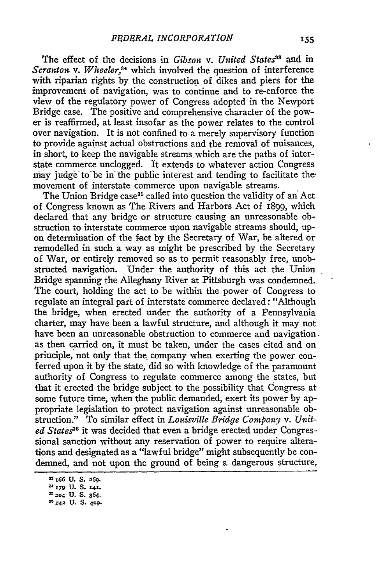The effect of the decisions in *Gibson* v. *United States33* and in *Scranton* v. *Whceler,*2• which involved the question of interference with riparian rights by the construction of dikes and piers for the improvement of navigation, was to continue and to re-enforce the view of the regulatory power of Congress adopted in the Newport Bridge case. The positive and comprehensive character of the power is reaffirmed, at least insofar as the power relates to the control over navigation. It is not confined to a merely supervisory function to provide against actual obstructions and the removal of nuisances, in short, to keep the navigable streams.which are the paths of interstate commerce unclogged. It extends to whatever action Congress may judge to be in the public interest and tending to facilitate themovement of interstate commerce upon navigable streams.

The Union Bridge case<sup>35</sup> called into question the validity of an Act of Congress known as The Rivers and Harbors Act of 1899, which declared that any bridge or structure causing an unreasonable obstruction to interstate commerce upon navigable streams should, upon determination of the fact by the Secretary of War, be altered or remodelled in such a way as might be prescribed by the Secretary of War, or entirely removed so as to permit reasonably free, unobstructed navigation. Under the authority of this act the Union Bridge spanning the Alleghany River at Pittsburgh was condemned. The court, holding the act to be within the power of Congress to regulate an integral part of interstate commerce declared: "Although the bridge, when erected under the authority of a Pennsylvania charter, may have been a lawful structure, and although it may not have been an unreasonable obstruction to commerce and navigation . as then carried on, it must be taken, under the cases cited and on principle, not only that the company when exerting the power conferred upon it by the state, did so with knowledge of the paramount authority of Congress to regulate commerce among the states, but that it erected the bridge subject to the possibility that Congress at some future time, when the public demanded, exert its power by appropriate legislation to protect navigation against unreasonable obstruction." To similar effect in *Louisville Bridge Company* v. *United Statcs3*6 it was decided that even a bridge erected under Congressional sanction without any reservation of power to require alterations and designated as a "lawful bridge" might subsequently be condemned, and not upon the ground of being a dangerous structure,

<sup>\*\* 166</sup> U.S. 269.

<sup>&</sup>lt;sup>34</sup> 179 U.S. 141.

 $35$  204 U.S. 364.

<sup>&</sup>lt;sup>38</sup> 242 U.S. 409.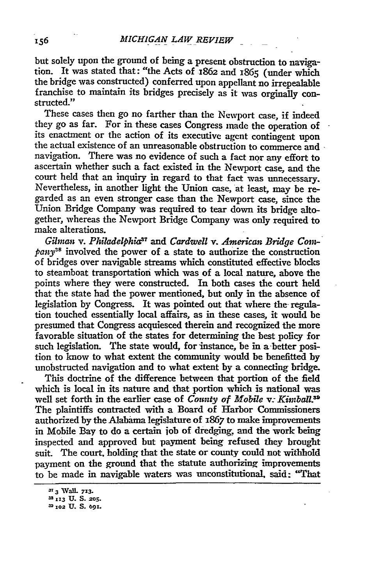but solely upon the ground of being a present obstruction to navigation. It was stated that: "the Acts of 1862 and 1865 (under which the bridge was constructed) conferred upon appellant no irrepealable franchise to maintain its bridges precisely as it was orginally constructed."

These cases then go no farther than the Newport case, if indeed they go as far. For in these cases Congress made the operation of its enactment or the action of its executive agent contingent upon the actual existence of an unreasonable obstruction to commerce and · navigation. There was no evidence of such a fact nor any effort to ascertain whether such a fact existed in the Newport case, and the court held that an inquiry in regard to that fact was unnecessary. Nevertheless, in another light the Union case, at least, may be regarded as an even stronger case than the Newport case, since the Union Bridge Company was required to tear down its bridge altogether, whereas the Newport Bridge Company was only required to make alterations.

*Gilman v. Philadelphia<sup>37</sup> and Cardwell v. American Bridge Com*pany*<sup>38</sup>*involved the power of a state to authorize the construction of bridges over navigable streams which constituted effective blocks to steamboat transportatiori which was of a local nature, above the points where they were constructed. In both cases the court held that the state had the power mentioned. but only in the absence of legislation by Congress. It was pointed out that where the regulation touched essentially local affairs, as in these cases, it would be presumed that Congress acquiesced therein and recognized the more favorable situation of the states for determining the best policy for such legislation. The state would, for instance, be in a better position to know to what extent the community would be benefitted by unobstructed navigation and to what extent by a connecting bridge.

This doctrine of the difference between that portion of the field which is local in its nature and that portion which is national was well set forth in the earlier case of *County of Mobile v. Kimball.*<sup>39</sup> The plaintiffs contracted with a Board of Harbor Commissioners authorized by the Alabama legislature of 1867 to make improvements in Mobile Bay to do a certain job of dredging, and the work being inspected and approved but payment being refused they brought suit. The court, holding that the state or county could not withhold payment on the ground that the statute authorizing improvements to be made in navigable waters was unconstitutional. said: "That

<sup>&</sup>lt;sup>37</sup> 3 Wall. 713.

<sup>&</sup>lt;sup>33</sup> 113 U.S. 205.

 $20_{102}$  U. S. 691.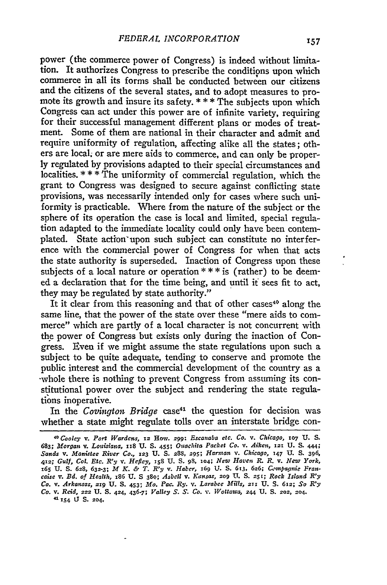power (the commerce power of Congress) is indeed without limitation. It authorizes Congress to prescribe the conditions upon which commerce in all its forms shall be conducted between our citizens and the citizens of the several states, and to adopt measures to promote its growth and insure its safety. \* \* \* The subjects upon which Congress can act under this power are of infinite variety, requiring for their successful management different plans or modes of treatment. Some of them are national in their character and admit and require uniformity of regulation, affecting alike all the states; others are local; or are mere aids to commerce, and can only be properly regulated by provisions adapted to their special circumstances and localities.  $***$  The uniformity of commercial regulation, which the grant to Congress was designed to secure against conflicting state provisions, was necessarily intended only for cases where such uniformity is practicable. Where from the nature of the subject or the sphere of its operation the case is local and limited, special regulation adapted to the immediate locality could only have been contemplated. State action'upon such subject can constitute no interference with the commercial power of Congress for when that acts the state authority is superseded. Inaction of Congress upon these subjects of a local nature or operation  $***$  is (rather) to be deemed a declaration that for the time being, and until it sees fit to act, they may be regulated by state authority."

It it clear from this reasoning and that of other cases<sup>40</sup> along the same line, that the power of the state over these "mere aids to commerce" which are partly of a local character is not concurrent with the power of Congress but exists only during the inaction of Congress. Even if we might assume the state regulations upon such a subject to be quite adequate, tending to conserve and promote the public interest and the commercial development of the country as a ·whole there is nothing to prevent Congress from assuming its constitutional power over the subject and rendering the state regulations inoperative.

In the *Covington Bridge* case<sup>41</sup> the question for decision was whether a state might regulate tolls over an interstate bridge con-

*<sup>••</sup>Cooley* v. *Port Wardens,* 12 How. 299: *Esca11aba etc. Co.* v. *Cliicago,* 107 U. S. 683; Morgan v. Louisiana, 118 U. S. 455; Ouachita Packet Co. v. Aiken, 121 U. S. 444;<br>Sands v. Manistee River Co., 123 U. S. 288, 295; Harman v. Chicago, 147 U. S. 396,<br>412; Gulf, Col. Etc. R'y v. Hefley, 158 U. S. 98, 104 165 U. S. 628, 63z-3; *M K.* & *T. R'y* v. *Haber,* 169 U. S. 613, 626; *CNnpagnie Fran· caise* v. *Bd. of Health,* 186 U. S 380; *Asbell* v. *K1msas,* 209 U. S. 25t; *Rock Island R'y Co.* v. *Arkansas,* 219 U. S. 453; *Mo. Pac. Ry.* v. *Larabee Mills,* 2n U. S. 612; *So R'y Co.* v. *Reid,* 222 U. S. 424, 436-7; *Valley S. S. Co.* \'. *Wottawa,* 244 U. S. 202, 204. <1 IS4 lJ S. 204.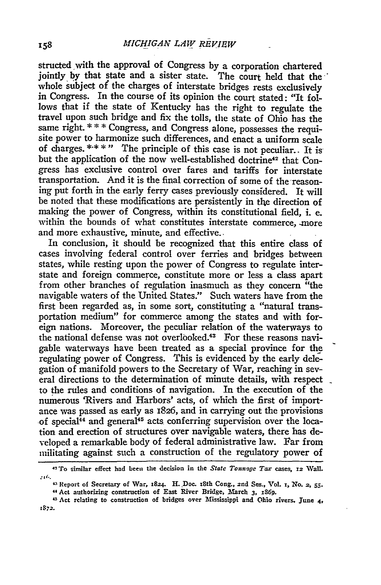structed with the approval of Congress by a corporation chartered jointly by that state and a sister state. The court held that the whole subject of the charges of interstate bridges rests exclusively in Congress. In the course of its opinion the court stated: "It follows that if the state of Kentucky has the right to regulate the travel upon such bridge and fix the tolls, the state of Ohio has the same right. \* \* \* Congress, and Congress alone, possesses the requisite power to harmonize such differences, and enact a uniform scale of charges.  $***$  " The principle of this case is not peculiar.. It is but the application of the now well-established doctrine<sup>42</sup> that Congress has exclusive control over fares and tariffs for interstate transportation. And it is the final correction of some of the reasoning put forth in the early ferry cases previously considered. It will be noted that these modifications are persistently in the direction of making the power of Congress, within its constitutional field, i. e. within the bounds of what constitutes interstate commerce, more and more exhaustive, minute, and effective.

In conclusion, it should be recognized that this entire class of cases involving federal control over ferries and bridges between states, while resting upon the power of Congress to regulate interstate and foreign commerce, constitute more or less a class apart from other branches of regulation inasmuch as they concern "the navigable waters of the United States." Such waters have from the first been regarded as, in some sort, constituting a "natural transportation medium" for commerce among the states and with foreign nations. Moreover, the peculiar relation of the watenvays to the national defense was not overlooked.<sup>43</sup> For these reasons navigable waterways have been treated as a special province for the regulating power of Congress. This is evidenced by the early delegation of manifold powers to the Secretary of War, reaching in several directions to the determination of minute details, with respect . to the rules and conditions of navigation. In the execution of the numerous 'Rivers and Harbors' acts, of which the first of importance was passed as early as 1826, and in carrying out the provisions of special<sup>44</sup> and general<sup>45</sup> acts conferring supervision over the location and erection of structures over navigable waters, there has developed a remarkable body of federal administrative law. Far from militating against such a construction of the regulatory power of

<sup>&</sup>lt;sup>47</sup> To similar effect had been the decision in the *State Tounage Tar* cases, 12 Wall. *. :•'··* 

<sup>&</sup>lt;sup>43</sup> Report of Secretary of War, 1824. H. Doc. 18th Cong., 2nd Ses., Vol. 1, No. 2, 55. <sup>44</sup> Act authorizing construction of East River Bridge, March 3, 1869.

<sup>&</sup>lt;sup>45</sup> Act relating to construction of bridges over Mississippi and Ohio rivers, June 4, 1Sp.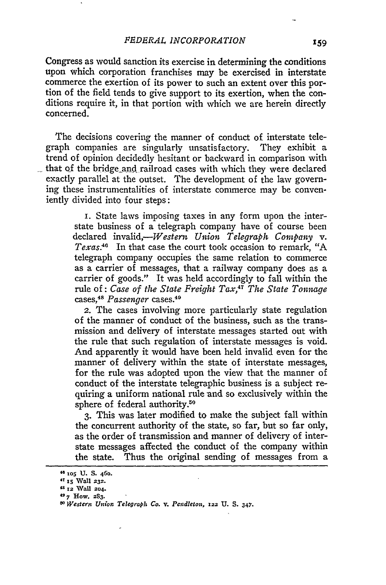Congress as would sanction its exercise in determining the conditions upon which corporation franchises may be exercised in interstate commerce the exertion of its power to such an extent over this portion of the field tends to give support to its exertion, when the conditions require it, in that portion with which we are herein directly concerned.

The decisions covering the manner of conduct of interstate telegraph companies are singularly unsatisfactory. They exhibit a trend of opinion decidedly hesitant or backward in comparison with that of the bridge and railroad cases with which they were declared exactly parallel at the outset. The development of the law governing these instrumentalities of interstate commerce may be conveniently divided into four steps :

> I. State laws imposing taxes in any form upon the interstate business of a telegraph company have of course been declared invalid,-Western *Union Telegraph Company* v. Texas.<sup>46</sup> In that case the court took occasion to remark, "A telegraph company occupies the same relation to commerce as a carrier of messages, that a railway company does as a carrier of goods." It was held accordingly to fall within the rule of: *Case of the State Freight Tax,47 The State Tonnage*  cases,48 *Passenger* cases.<sup>49</sup>

> *2.* The cases involving more particularly state regulation of the manner of conduct of the business, such as the transmission and delivery of interstate messages started out with the rule that such regulation of interstate messages is void. And apparently it would have been held invalid even for the manner of delivery within the state of interstate messages, for the rule was adopted upon the view that the manner of conduct of the interstate telegraphic business is a subject requiring a uniform national rule and so exclusively within the sphere of federal authority.50

> 3. This was later modified to make the subject fall within the concurrent authority of the state, so far, but so far only, as the order of transmission and manner of delivery of interstate messages affected the conduct of the company within the state. Thus the original sending of messages from a

<sup>... 105</sup> u. s. 460.

 $47$  15 Wall 232.

cs 12 \Vall 20+

 $497$  How. 283.

*<sup>&</sup>quot;'Western U11ion Telegraph Co.* v. *Pc11dleto11,* 122 U. S. 347.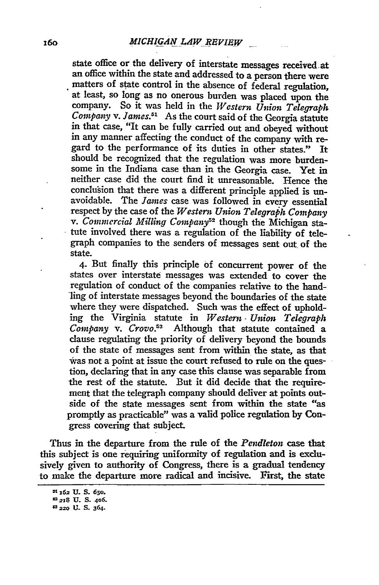state office or the delivery of interstate messages received at an office within the state and addressed to a person there were . matters of state control in the absence of federal regulation, at least, so long as no onerous burden was placed upon the company. So it was held in the *Western Union Telegraph Combany v. James.*<sup>51</sup> As the court said of the Georgia statute in that case, "It can be fully carried out and obeyed without in any manner affecting the conduct of the company with regard to the performance of its duties in other states." It should be recognized that the regulation was more burdensome in the Indiana case than in the Georgia case. Yet in neither case did the court find it unreasonable. Hence the conclusion that there was a different principle applied is unavoidable. The *James* case was followed in every essential respect by the case of the *Western Union Telegraph Company*  v. *Commercial Milling Company52* though the Michigan statute involved there was a regulation of the liability of telegraph companies to the senders of messages sent out of the state.

4. But finally this principle of concurrent power of the states over interstate messages was extended to cover the regulation of conduct of the companies relative to the hand-1ing of interstate messages beyond the boundaries of the state where they were dispatched. Such was the effect of upholding the Virginia statute in *Western· Union Telegraph*  Although that statute contained a clause regulating the priority of delivery beyond the bounds of the state of messages sent from within the state, as that was not a point at issue the court refused to rule on the question, declaring that in any case this clause was separable from the rest of the statute. But it did decide that the requirement that the telegraph company should deliver at points outside of the state messages sent from within the state "as promptly as practicable" was a valid police regulation by Congress covering that subject.

Thus in the departure from the rule of the *Pendleton* case that this subject is one requiring uniformity of regulation and is exclusively given to authority of Congress, there is a gradual tendency to make the departure more radical and incisive. First, the state

<sup>&</sup>lt;sup>51</sup> 162 U.S. 650.

 $\approx$  218 U.S. 406.

<sup>&</sup>lt;sup>13</sup> 220 U.S. 364.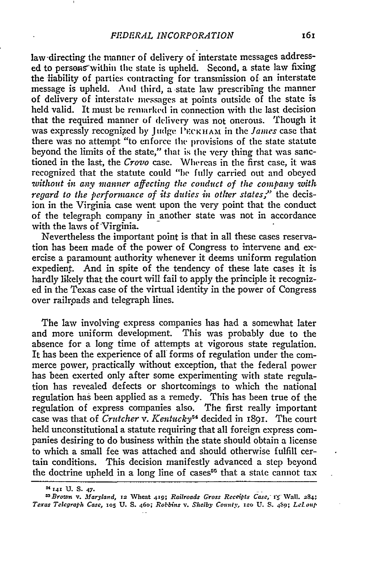law-directing the manner of delivery of interstate messages addressed to persons within the state is upheld. Second, a state law fixing the liability of parties contracting for transmission of an interstate message is upheld. And third, a state law prescribing the manner of delivery of interstak nwssages at points outside of the state is held valid. It must be remarked in connection with the last decision that the required manner of delivery was not onerous. Though it was expressly recognized by Judge PECKHAM in the *James* case that there was no attempt "to enforce the provisions of the state statute beyond the limits of the state," that is the very thing that was sanctioned in the last, the *Crovo* case. Whereas in the first case, it was recognized that the statute could "be fully carried out and obeyed *without in any manner affecting the conduct of the company with regard to the performance of its duties in otlter states;"* the decision in the Virginia case went upon the very point that the conduct of the telegraph company in another state was not in accordance with the laws of Virginia.

Nevertheless the important point is that in all these cases reservation has been made of the power of Congress to intervene and exercise a paramount authority whenever it deems uniform regulation expedient. And in spite of the tendency of these late cases it is hardly likely that the court will fail to apply the principle it recognized in the Texas case of the virtual identity in the power of Congress over railroads and telegraph lines.

The law involving express companies has had a somewhat later and more uniform development. This was probably due to the absence for a long time of attempts at vigorous state regulation. It has been the experience of all forms of regulation under the commerce power, practically without exception, that the federal power has been exerted only after some experimenting with state regulation has revealed defects or shortcomings to which the national regulation has been applied as a remedy. This has been true of the regulation of express companies also. The first really important case was that of *Crutcher v. Kentucky*<sup>54</sup> decided in 1891. The court held unconstitutional a statute requiring that all foreign express companies desiring to do business within the state should obtain a license to which a small fee was attached and should otherwise fulfill certain conditions. This decision manifestly advanced a step beyond the doctrine upheld in a long line of cases<sup>55</sup> that a state cannot tax

<sup>51</sup> I4I U. 5. 47•

<sup>&</sup>lt;sup>55</sup> Brown v. Maryland, 12 Wheat 419; *Railroads Gross Receipts Case*, 15 Wall. 284; *Te:ras Telegraph Case,* ios U. S. 460; *Roblrins* v. *Shelby Cou11t\_,.,* i~o U. S. 4&9; *Li:Loup*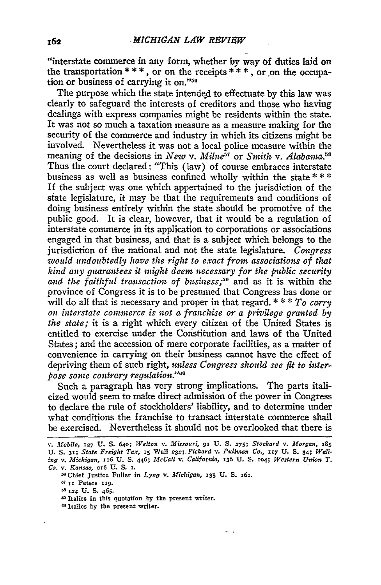"interstate commerce in any form, whether by way of duties laid on the transportation \*\*\*, or on the receipts \*\*\*, or on the occupation or business of carrying it on."<sup>56</sup>

The purpose which the state intended to effectuate by this law was clearly to safeguard the interests of creditors and those who having dealings with express companies might be residents within the state. It was not so much a taxation measure as a measure making for the security of the commerce and industry in which its citizens might be involved. Nevertheless it was not a local police measure within the meaning of the decisions in *New v. Milne*<sup>51</sup> or *Smith v. Alabama*.<sup>58</sup> Thus the court declared: "This (law) of course embraces interstate business as well as business confined wholly within the state \* \* \* If the subject was one which appertained to the jurisdiction of the state legislature, it may be that the requirements and conditions of doing business entirely within the state should be promotive of the public good. It is clear, however, that it would be a regulation of interstate commerce in its application to corporations or associations engaged in that business, and that is a subject which belongs to the jurisdiction of the national and not the state legislature. *Congress would undoubtedly have the right to exact from associations of that kind auy guarantees it might deem necessary for the pitblic security*  and the faithful transaction of business;<sup>59</sup> and as it is within the \_province of Congress it is to be presumed that Congress has done or will do all that is necessary and proper in that regard. \* \* \* *To carry* <sup>011</sup>*bzterstate commerce is not a franchise or a privilege granted by the state;* it is a right which every citizen of the United States is entitled to exercise under the Constitution and laws of the United States ; and the accession of mere corporate facilities, as a matter of convenience in carrying on their business cannot have the effect of depriving them of such right, *unless Congress should see fit to interpose some contrary regulation.*"<sup>60</sup>

Such a paragraph has very strong implications. The parts italicized would seem to make direct admission of the power in Congress to declare the rule of stockholders' liability, and to determine under what conditions the franchise to transact interstate commerce shall be exercised. Nevertheless it should not be overlooked that there is

<sup>60</sup> Italics by the present writer.

<sup>, ..</sup> *Mobile,* I27 U. \$. 640; *Welton* v. *Misso11ri,* 91 U. S. 275; *Stockard* v. *Morgan,* 185 U. S. 31; *State Freight Tax,* 15 Wall *232;\_Pickard* v. *Pullman Co., n7* U. S. 34; *Wali· ing* v. *Michigan,* n6 U. S. 446; *McCall* v. *California,* 136 U. S. 104; *Western Union T. Co.* v. *Kansas,* 216 U. S. I. ,

<sup>&</sup>quot;"Chief Justice Fuller in *Lyng* v. *Miclrigan,* 135 U. S. 161.

**ct 11 Peters 119 •** 

<sup>&</sup>lt;sup>53</sup> 124 U.S. 465.

 $\infty$  Italics in this quotation by the present writer.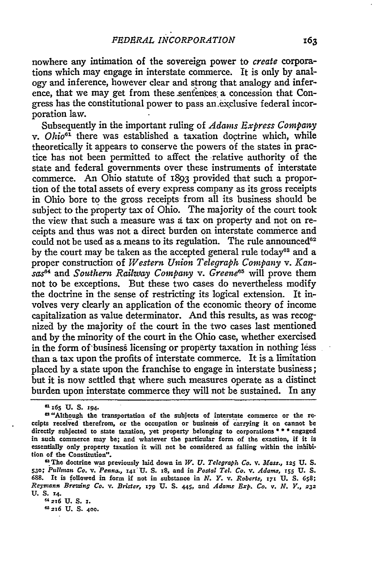nowhere any intimation of the sovereign power to *create* corporations which may engage in interstate commerce. It is only by analogy and inference, however clear and strong that analogy and inference, that we may get from these sentences a concession that Congress has the constitutional power to pass an.exclusive federal incorporation law.

Subsequently in the important ruling of *Adams Express Company*  v. *Ohio61* there was established a taxation doctrine which, while theoretically it appears to conserve the powers of the states in practice has not been permitted to affect the ·relative authority of the state and federal governments over these instruments of interstate commerce. An Ohio statute of 1893 provided that such a proportion of the total assets of every express company as its gross receipts in Ohio bore to the gross receipts from all its business should be subject to the property tax of Ohio. The majority of the court took the view that such a measure was a tax on property and not on receipts and thus was not a direct burden on interstate commerce and could not be used as a means to its regulation. The rule announced<sup>62</sup> by the court may be taken as the accepted general rule today<sup>63</sup> and a proper construction of *Western Union Telegraph Company v. Kansa.s'\** and *Sou,thern Railway Company* v. *Greene65* will prove them not to be exceptions. But these two cases do nevertheless modify the doctrine in the sense of restricting its logical extension. It involves very clearly an application of the economic theory of income capitalization as value detenninator. And this results, as was recognized by the majority of the court in the two cases last mentioned and by the minority of the court in the Ohio case, whether exercised in the form of·business licensing or property taxation in nothing less than a tax upon the profits of interstate commerce. It is a limitation placed by a state upon the franchise to engage in interstate business ; but it is now settled that where such measures operate as a distinct burden upon interstate commerce they will not be sustained. In any

<sup>63</sup> The doctrine was previously laid down in *W. U. Telegraph Co. v. Mass.*, 125 U. S. 530; *Pullman Co.* v. *Pe11na.,* 141 · U. S. 18, and in *Postal Tel. Co.* v. *Adams,* 155 U. S. 688. It is followed in form if not in substance in N. Y. v. *Roberts,* 17I U. S. 658; *Resmann Bre-.uing Co.* v. *Brister, 179* U. S. 445, and *Adoms Erp. Co.* v. *N. Y.,* 232 U. S. I4-

 $^{64}$  216 U.S.<sub>1</sub>.

<sup>65</sup> 216 U.S. 400.

<sup>&</sup>lt;sup>61</sup> 165 U. S. 194.

a "Although the transportation of the subjects of interstate commerce or the re· ceipts received- therefrom, or the occupation or busine5S of earrying it on cannot be directly subjected to state taxation, yet property belonging to corporations• • • engaged in such commerce may be; and whatever the particular form of the exaction, if it is essentially only property taxation it will not be considered as falling within the inhibi· tion of the Constitution".